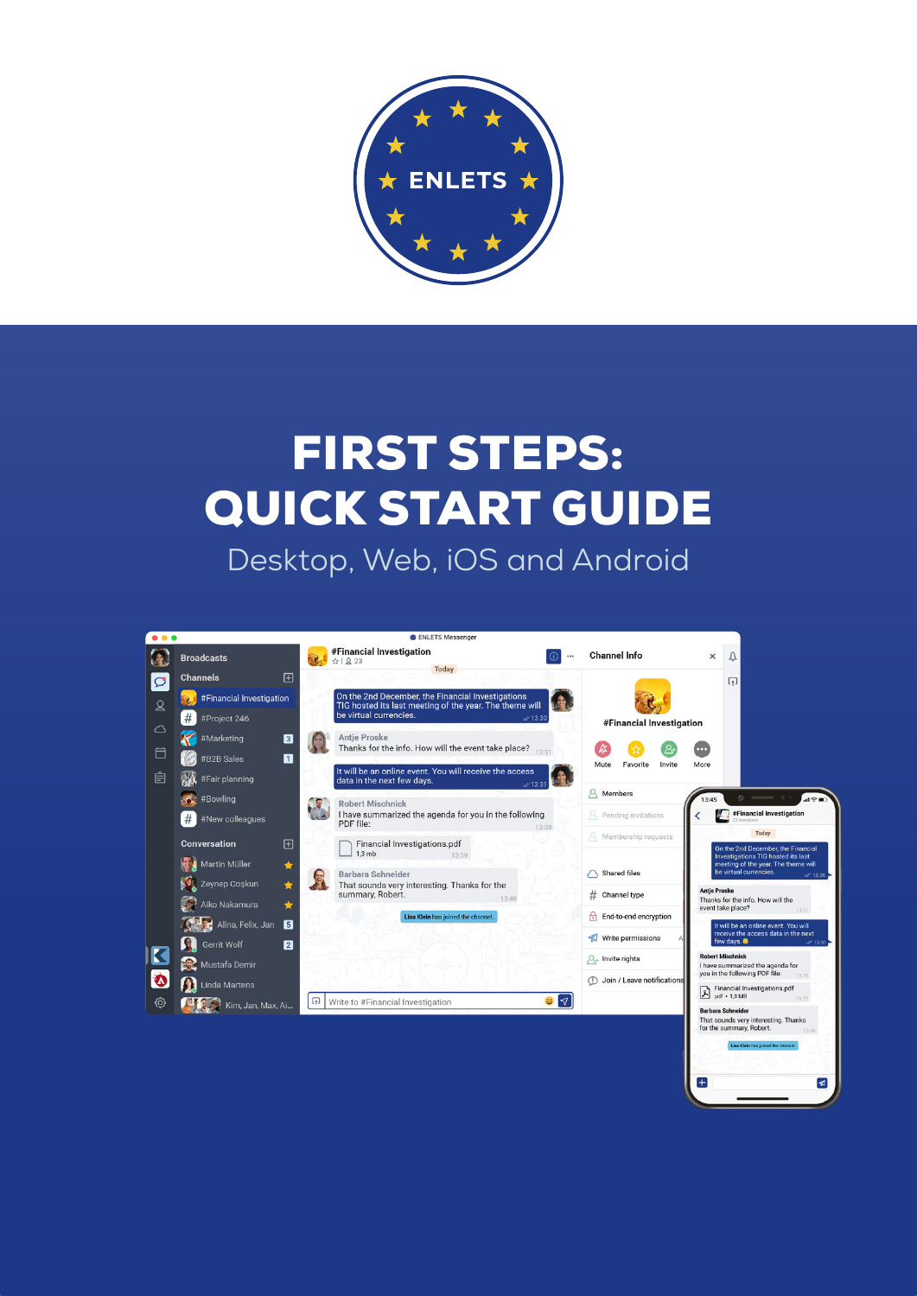

# FIRST STEPS: QUICK START GUIDE

Desktop, Web, iOS and Android



 $\left| + \right|$ 

 $\sqrt{a}$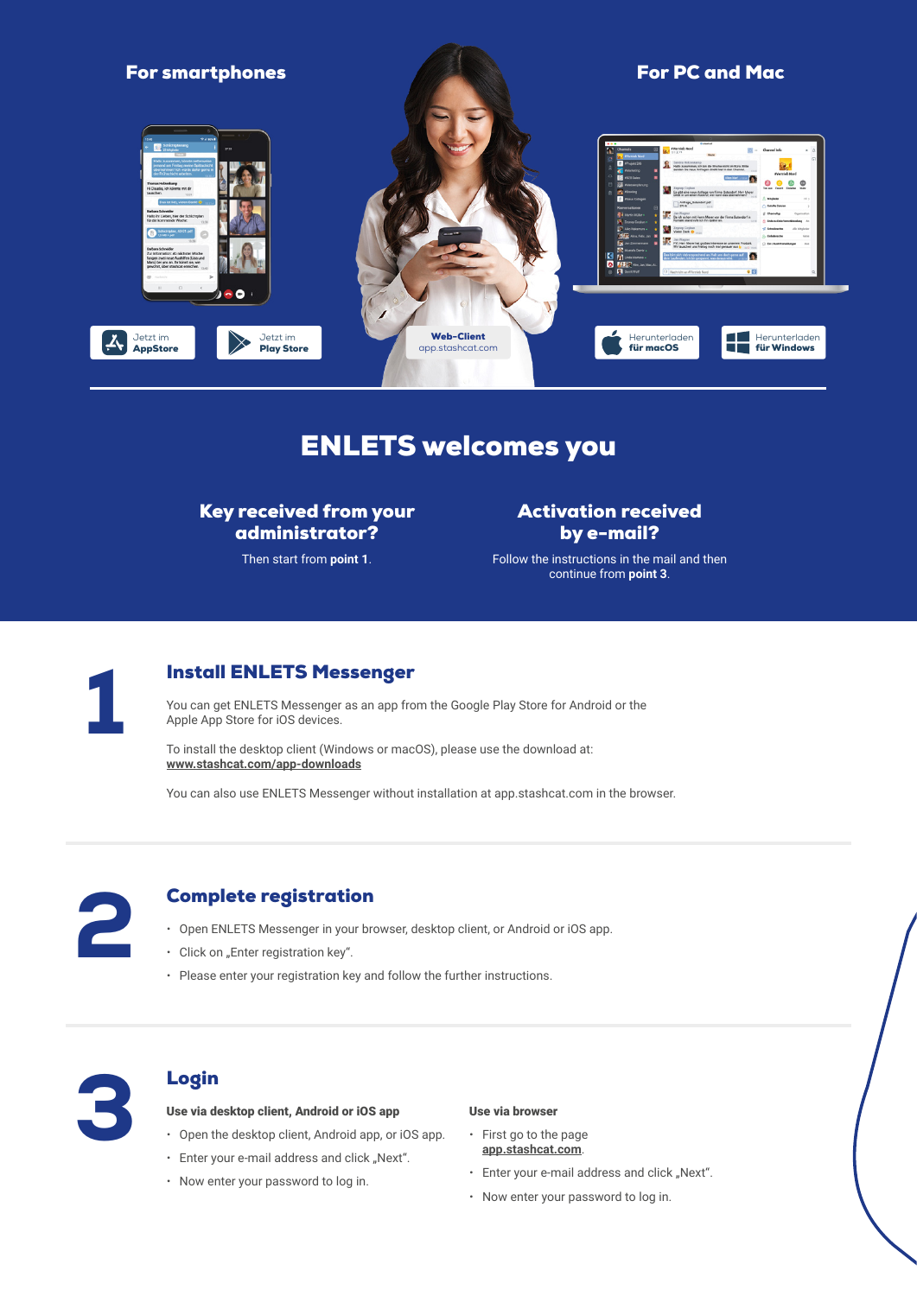

# ENLETS welcomes you

Key received from your administrator?

Then start from **point 1**.

Activation received by e-mail?

Follow the instructions in the mail and then continue from **point 3**.



### **Install ENLETS Messenger**

You can get ENLETS Messenger as an app from the Google Play Store for Android or the Apple App Store for iOS devices.

To install the desktop client (Windows or macOS), please use the download at: **www.stashcat.com/app-downloads**

You can also use ENLETS Messenger without installation at app.stashcat.com in the browser.



#### Complete registration

- Open ENLETS Messenger in your browser, desktop client, or Android or iOS app. **Example te registration<br>
2 x Open ENLETS Messenger in your browser, desktop client, or Android<br>
2 x Please enter your registration key".<br>
2 Please enter your registration key and follow the further instructions.** 
	-
	-



#### Use via desktop client, Android or iOS app

- x Open the desktop client, Android app, or iOS app.
- $\cdot$  Enter your e-mail address and click "Next".
- Now enter your password to log in.

#### Use via browser

- x First go to the page **app.stashcat.com**.
- $\cdot$  Enter your e-mail address and click "Next".
- Now enter your password to log in.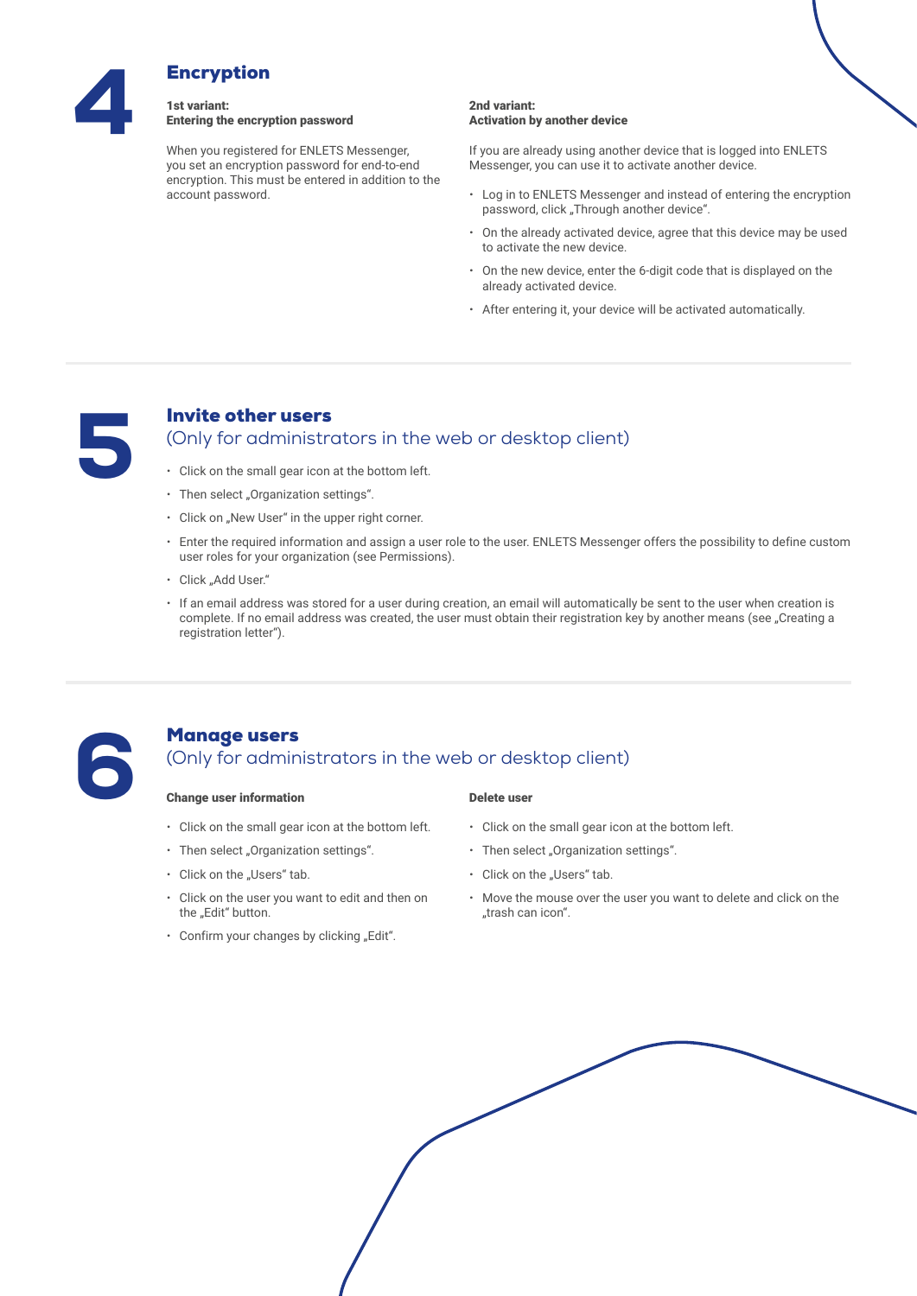

# Entering the encryption password

When you registered for ENLETS Messenger, you set an encryption password for end-to-end encryption. This must be entered in addition to the account password.

#### 2nd variant: Activation by another device

If you are already using another device that is logged into ENLETS Messenger, you can use it to activate another device.

- Log in to ENLETS Messenger and instead of entering the encryption password, click "Through another device".
- On the already activated device, agree that this device may be used to activate the new device.
- x On the new device, enter the 6-digit code that is displayed on the already activated device.
- x After entering it, your device will be activated automatically.



### Invite other users (Only for administrators in the web or desktop client)

- x Click on the small gear icon at the bottom left.
- $\cdot$  Then select "Organization settings".
- Click on "New User" in the upper right corner.
- x Enter the required information and assign a user role to the user. ENLETS Messenger offers the possibility to define custom user roles for your organization (see Permissions).
- · Click "Add User."
- \* If an email address was stored for a user during creation, an email will automatically be sent to the user when creation is complete. If no email address was created, the user must obtain their registration key by another means (see "Creating a registration letter").



### Manage users (Only for administrators in the web or desktop client)

#### Change user information

- Click on the small gear icon at the bottom left.
- $\cdot$  Then select "Organization settings".
- Click on the "Users" tab.
- Click on the user you want to edit and then on the "Edit" button.
- $\cdot$  Confirm your changes by clicking "Edit".

#### Delete user

- $\cdot$  Click on the small gear icon at the bottom left.
- $\cdot$  Then select "Organization settings".
- Click on the "Users" tab.
- \* Move the mouse over the user you want to delete and click on the "trash can icon".